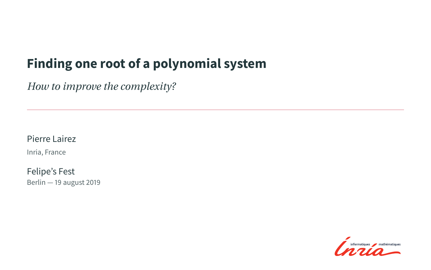## <span id="page-0-0"></span>**Finding one root of a polynomial system**

*How to improve the complexity?*

#### Pierre Lairez

Inria, France

Felipe's Fest Berlin — 19 august 2019

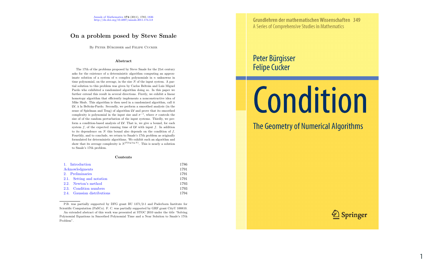#### On a problem posed by Steve Smale

By PETER BÜRGISSER and FELIPE CUCKER

#### Abstract

The 17th of the problems proposed by Steve Smale for the 21st century asks for the existence of a deterministic algorithm computing an approximate solution of a system of  $n$  complex polynomials in  $n$  unknowns in time polynomial, on the average, in the size N of the input system. A partial solution to this problem was given by Carlos Beltrán and Luis Miguel Pardo who exhibited a randomized algorithm doing so. In this paper we further extend this result in several directions. Firstly, we exhibit a linear homotopy algorithm that efficiently implements a nonconstructive idea of Mike Shub. This algorithm is then used in a randomized algorithm, call it LV, à la Beltrán-Pardo. Secondly, we perform a smoothed analysis (in the sense of Spielman and Teng) of algorithm LV and prove that its smoothed complexity is polynomial in the input size and  $\sigma^{-1}$ , where  $\sigma$  controls the size of of the random perturbation of the input systems. Thirdly, we perform a condition-based analysis of LV. That is, we give a bound, for each system  $f$ , of the expected running time of LV with input  $f$ . In addition to its dependence on  $N$  this bound also depends on the condition of  $f$ . Fourthly, and to conclude, we return to Smale's 17th problem as originally formulated for deterministic algorithms. We exhibit such an algorithm and show that its average complexity is  $N^{\mathcal{O}(\log \log N)}$ . This is nearly a solution to Smale's 17th problem.

#### Contents

| 1. Introduction             | 1786 |
|-----------------------------|------|
| Acknowledgments             | 1791 |
| 2. Preliminaries            | 1791 |
| 2.1. Setting and notation   | 1791 |
| 2.2. Newton's method        | 1793 |
| 2.3. Condition numbers      | 1793 |
| 2.4. Gaussian distributions | 1794 |

P.B. was partially supported by DFG grant BU 1371/2-1 and Paderborn Institute for Scientific Computation (PaSCo). F. C. was partially supported by GRF grant CityU 100810.

An extended abstract of this work was presented at STOC 2010 under the title "Solving Polynomial Equations in Smoothed Polynomial Time and a Near Solution to Smale's 17th Problem".

Grundlehren der mathematischen Wissenschaften 349 A Series of Comprehensive Studies in Mathematics

#### Peter Bürgisser **Felipe Cucker**

# **Condition**

The Geometry of Numerical Algorithms



1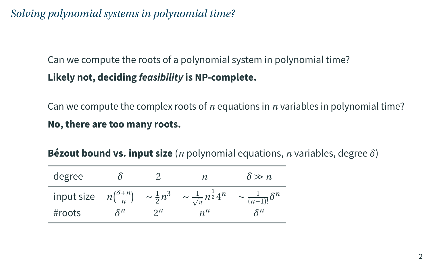## *Solving polynomial systems in polynomial time?*

## Can we compute the roots of a polynomial system in polynomial time? **Likely not, deciding feasibility is NP-complete.**

Can we compute the complex roots of *n* equations in *n* variables in polynomial time? **No, there are too many roots.**

| degree |                 |                | п                                                                                                     | $\delta \gg n$                   |
|--------|-----------------|----------------|-------------------------------------------------------------------------------------------------------|----------------------------------|
|        |                 |                | input size $n\binom{\delta+n}{n}$ $\sim \frac{1}{2}n^3$ $\sim \frac{1}{\sqrt{\pi}}n^{\frac{1}{2}}4^n$ | $\sim \frac{1}{(n-1)!} \delta^n$ |
| #roots | $\mathcal{S}^n$ | 2 <sub>n</sub> | $n^{n}$                                                                                               | $\delta^n$                       |

**Bézout bound vs. input size** (*n* polynomial equations, *n* variables, degree *δ*)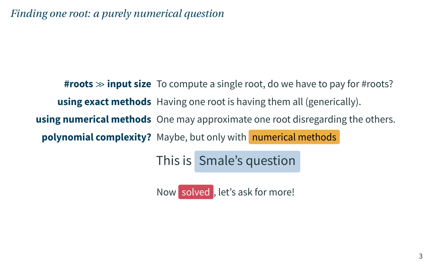*Finding one root: a purely numerical question*

**#roots**  $\gg$  **input size** To compute a single root, do we have to pay for #roots? **using exact methods** Having one root is having them all (generically). **using numerical methods** One may approximate one root disregarding the others. **polynomial complexity?** Maybe, but only with numerical methods

This is Smale's question

Now solved , let's ask for more!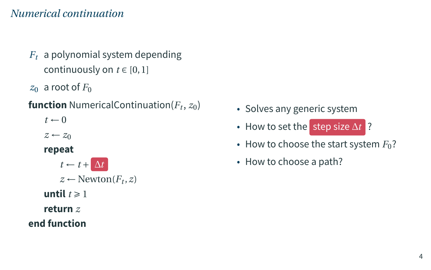#### *Numerical continuation*

- *F<sup>t</sup>* a polynomial system depending continuously on  $t \in [0, 1]$
- $z_0$  a root of  $F_0$

#### **function** NumericalContinuation( $F_t$ ,  $z_0$ )

 $t \leftarrow 0$ 

 $z \leftarrow z_0$ 

**repeat**

 $t \leftarrow t + \Delta t$  $z \leftarrow \text{Newton}(F_t, z)$ **until**  $t \ge 1$ **return** *z*

#### **end function**

- Solves any generic system
- How to set the step size ∆*t* ?
- How to choose the start system  $F_0$ ?
- How to choose a path?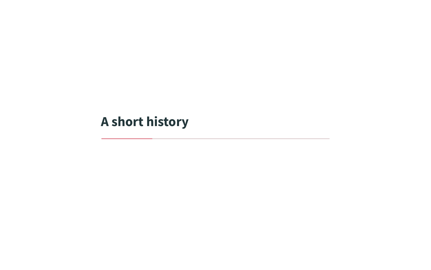# <span id="page-5-0"></span>**[A short history](#page-5-0)**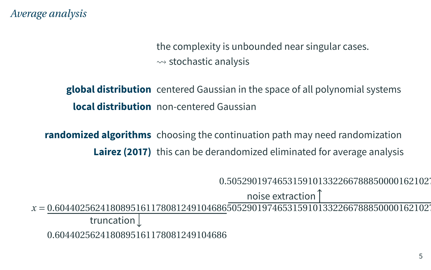*Average analysis*

the complexity is unbounded near singular cases.  $\rightsquigarrow$  stochastic analysis

**global distribution** centered Gaussian in the space of all polynomial systems **local distribution** non-centered Gaussian

**randomized algorithms** choosing the continuation path may need randomization **Lairez (2017)** this can be derandomized eliminated for average analysis

0.5052901974653159101332266788850000162102

noise extraction

*x* = 0.60440256241808951611780812491046865052901974653159101332266788850000162102 truncation

0.6044025624180895161178081249104686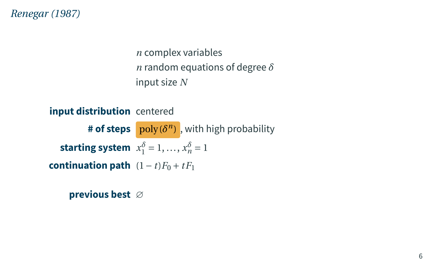*Renegar [\(1987\)](#page-0-0)*

*n* complex variables *n* random equations of degree *δ* input size *N*

**input distribution** centered **# of steps**  $\frac{\text{poly}(\delta^n)}{\text{poly}}$ , with high probability **starting system**  $x_1^{\delta} = 1, ..., x_n^{\delta} = 1$ **continuation path**  $(1-t)F_0 + tF_1$ 

**previous best** ∅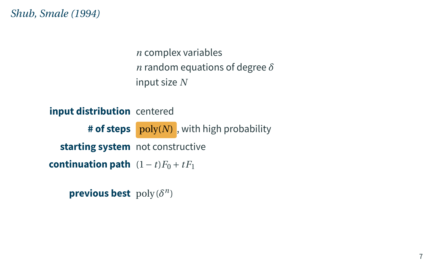*Shub, Smale [\(1994\)](#page-0-0)*

*n* complex variables *n* random equations of degree *δ* input size *N*

**input distribution** centered # **of steps** poly(N), with high probability **starting system** not constructive **continuation path**  $(1-t)F_0 + tF_1$ 

**previous best** poly( $\delta^n$ )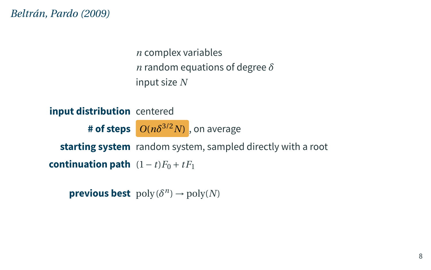*Beltrán, Pardo [\(2009\)](#page-0-0)*

*n* complex variables *n* random equations of degree *δ* input size *N*

**input distribution** centered **# of steps** *O*(*nδ* 3/2*N*) , on average **starting system** random system, sampled directly with a root **continuation path**  $(1-t)F_0 + tF_1$ 

**previous best**  $\text{poly}(\delta^n) \to \text{poly}(N)$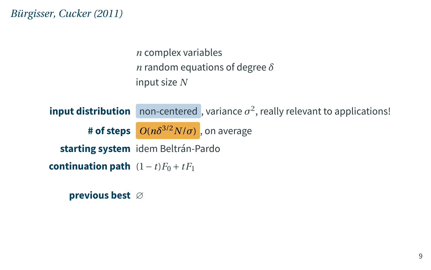*Bürgisser, Cucker [\(2011\)](#page-0-0)*

*n* complex variables *n* random equations of degree *δ* input size *N*

 $\frac{1}{2}$  **input distribution** non-centered, variance  $\sigma^2$ , really relevant to applications! **# of steps** *O*(*nδ* 3/2*N*/*σ*) , on average **starting system** idem Beltrán-Pardo **continuation path**  $(1-t)F_0 + tF_1$ 

**previous best** ∅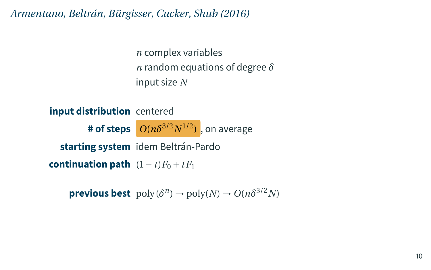*Armentano, Beltrán, Bürgisser, Cucker, Shub [\(2016\)](#page-0-0)*

*n* complex variables *n* random equations of degree *δ* input size *N*

**input distribution** centered **# of steps** *O*(*nδ* 3/2*N* 1/2) , on average **starting system** idem Beltrán-Pardo **continuation path**  $(1-t)F_0 + tF_1$ 

**previous best**  $\text{poly}(\delta^n) \to \text{poly}(N) \to O(n\delta^{3/2}N)$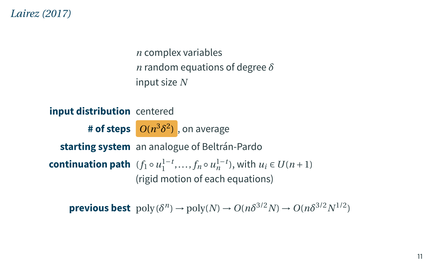#### *Lairez (2017)*

*n* complex variables *n* random equations of degree *δ* input size *N*

**input distribution** centered **# of steps** *O*(*n* 3*δ* 2 ) , on average **starting system** an analogue of Beltrán-Pardo **continuation path**  $(f_1 \circ u_1^{1-t}, \ldots, f_n \circ u_n^{1-t})$ , with  $u_i \in U(n+1)$ (rigid motion of each equations)

**previous best**  $\text{poly}(\delta^n) \to \text{poly}(N) \to O(n\delta^{3/2}N) \to O(n\delta^{3/2}N^{1/2})$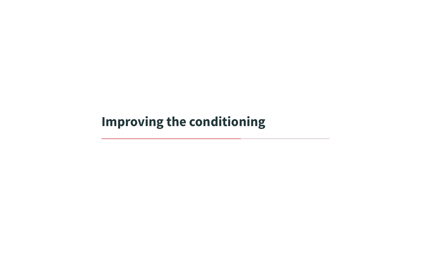# <span id="page-13-0"></span>**[Improving the conditioning](#page-13-0)**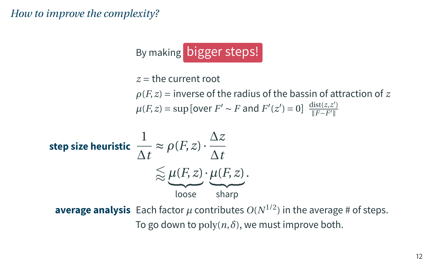*How to improve the complexity?*

By making bigger steps!

 $z =$  the current root  $\rho(F, z)$  = inverse of the radius of the bassin of attraction of *z*  $\mu(F, z) = \sup \left[ \text{over } F' \sim F \text{ and } F'(z') = 0 \right] \frac{\text{dist}(z, z')}{\|F - F'\|}$ 

$$
\begin{aligned}\n\text{step size heuristic} & \frac{1}{\Delta t} \approx \rho(F, z) \cdot \frac{\Delta z}{\Delta t} \\
& \approx \underbrace{\mu(F, z)}_{\text{loose}} \cdot \underbrace{\mu(F, z)}_{\text{sharp}}.\n\end{aligned}
$$

**average analysis** Each factor  $\mu$  contributes  $O(N^{1/2})$  in the average # of steps. To go down to  $poly(n, \delta)$ , we must improve both.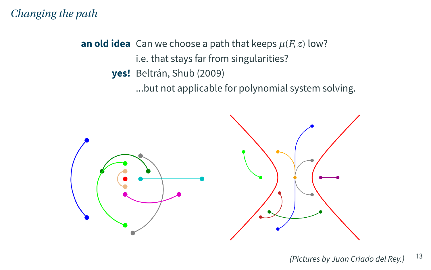### *Changing the path*

**an old idea** Can we choose a path that keeps  $\mu(F, z)$  low? i.e. that stays far from singularities? **yes!** Beltrán, Shub [\(2009\)](#page-0-0)

...but not applicable for polynomial system solving.



<sup>(</sup>Pictures by Juan Criado del Rey.)  $13$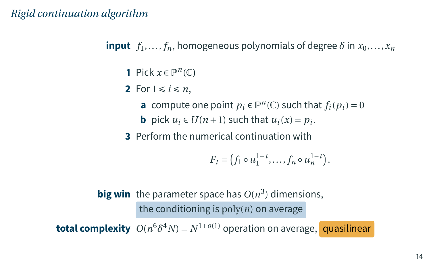### *Rigid continuation algorithm*

**input**  $f_1, \ldots, f_n$ , homogeneous polynomials of degree  $\delta$  in  $x_0, \ldots, x_n$ 

- **1** Pick  $x \in \mathbb{P}^n(\mathbb{C})$
- **2** For  $1 \le i \le n$ ,
	- **a** compute one point  $p_i \in \mathbb{P}^n(\mathbb{C})$  such that  $f_i(p_i) = 0$
	- **b** pick  $u_i \in U(n+1)$  such that  $u_i(x) = p_i$ .
- **3** Perform the numerical continuation with

$$
F_t = (f_1 \circ u_1^{1-t}, \dots, f_n \circ u_n^{1-t}).
$$

 $\mathsf{big\,win}$  the parameter space has  $O(n^3)$  dimensions, the conditioning is  $poly(n)$  on average

**total complexity**  $O(n^6 \delta^4 N) = N^{1+o(1)}$  operation on average, quasilinear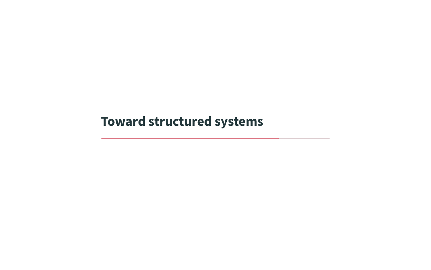<span id="page-17-0"></span>**[Toward structured systems](#page-17-0)**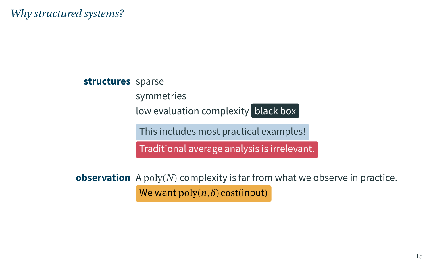*Why structured systems?*

**structures** sparse symmetries low evaluation complexity black box This includes most practical examples! Traditional average analysis is irrelevant.

**observation** A poly(*N*) complexity is far from what we observe in practice. We want  $\text{poly}(n, \delta) \text{cost}(\text{input})$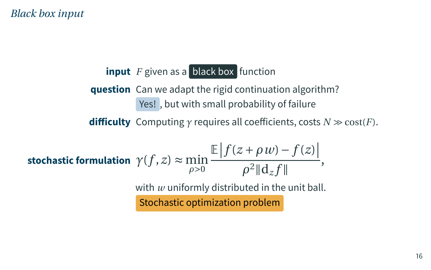#### *Black box input*

## **input** *F* given as a black box function

**question** Can we adapt the rigid continuation algorithm? Yes! , but with small probability of failure

**difficulty** Computing  $\gamma$  requires all coefficients, costs  $N \gg \text{cost}(F)$ .

stochastic formulation 
$$
\gamma(f, z) \approx \min_{\rho > 0} \frac{\mathbb{E} |f(z + \rho w) - f(z)|}{\rho^2 ||\mathbf{d}_z f||},
$$
  
with *w* uniformly distributed in the unit ball.  
Stochastic optimization problem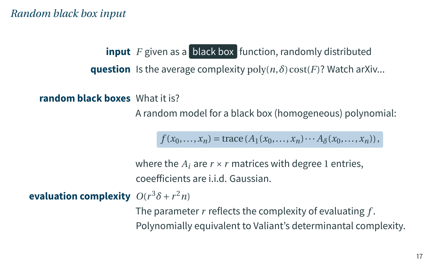*Random black box input*

**input** *F* given as a **black box** function, randomly distributed **question** Is the average complexity  $poly(n, \delta) \text{cost}(F)$ ? Watch arXiv...

**random black boxes** What it is?

A random model for a black box (homogeneous) polynomial:

 $f(x_0,...,x_n) = \text{trace}(A_1(x_0,...,x_n) \cdots A_\delta(x_0,...,x_n)),$ 

where the  $A_i$  are  $r \times r$  matrices with degree 1 entries, coeefficients are i.i.d. Gaussian.

**evaluation complexity**  $O(r^3\delta + r^2n)$ 

The parameter *r* reflects the complexity of evaluating *f* . Polynomially equivalent to Valiant's determinantal complexity.